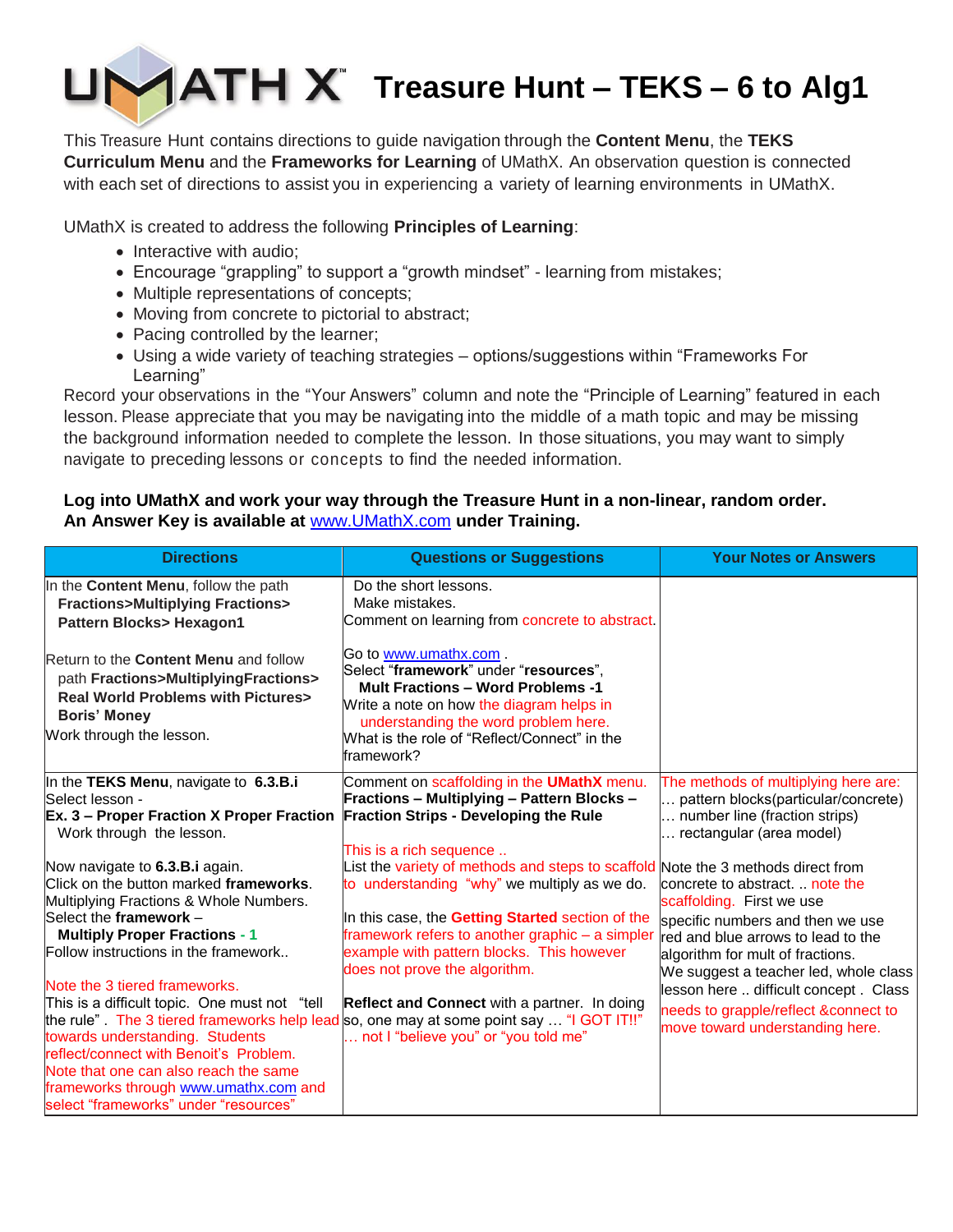

This Treasure Hunt contains directions to guide navigation through the **Content Menu**, the **TEKS Curriculum Menu** and the **Frameworks for Learning** of UMathX. An observation question is connected with each set of directions to assist you in experiencing a variety of learning environments in UMathX.

UMathX is created to address the following **Principles of Learning**:

- Interactive with audio;
- Encourage "grappling" to support a "growth mindset" learning from mistakes;
- Multiple representations of concepts;
- Moving from concrete to pictorial to abstract;
- Pacing controlled by the learner;
- Using a wide variety of teaching strategies options/suggestions within "Frameworks For Learning"

Record your observations in the "Your Answers" column and note the "Principle of Learning" featured in each lesson. Please appreciate that you may be navigating into the middle of a math topic and may be missing the background information needed to complete the lesson. In those situations, you may want to simply navigate to preceding lessons or concepts to find the needed information.

# **Log into UMathX and work your way through the Treasure Hunt in a non-linear, random order. An Answer Key is available at** [www.UMathX.com](http://www.umathx.com/) **under Training.**

| <b>Directions</b>                                                                                                                                                                                                                                                                                                              | <b>Questions or Suggestions</b>                                                                                                                                                                                                                                       | <b>Your Notes or Answers</b>                                                                                                                                                                   |
|--------------------------------------------------------------------------------------------------------------------------------------------------------------------------------------------------------------------------------------------------------------------------------------------------------------------------------|-----------------------------------------------------------------------------------------------------------------------------------------------------------------------------------------------------------------------------------------------------------------------|------------------------------------------------------------------------------------------------------------------------------------------------------------------------------------------------|
| In the Content Menu, follow the path<br><b>Fractions&gt;Multiplying Fractions&gt;</b><br><b>Pattern Blocks&gt; Hexagon1</b>                                                                                                                                                                                                    | Do the short lessons.<br>Make mistakes.<br>Comment on learning from concrete to abstract.                                                                                                                                                                             |                                                                                                                                                                                                |
| Return to the <b>Content Menu</b> and follow<br>path Fractions>MultiplyingFractions><br><b>Real World Problems with Pictures&gt;</b><br><b>Boris' Money</b><br>Work through the lesson.                                                                                                                                        | Go to www.umathx.com.<br>Select "framework" under "resources",<br><b>Mult Fractions - Word Problems -1</b><br>Write a note on how the diagram helps in<br>understanding the word problem here.<br>What is the role of "Reflect/Connect" in the<br>framework?          |                                                                                                                                                                                                |
| In the TEKS Menu, navigate to 6.3.B.i<br>Select lesson -<br><b>Ex. 3 – Proper Fraction X Proper Fraction</b><br>Work through the lesson.<br>Now navigate to 6.3.B.i again.                                                                                                                                                     | Comment on scaffolding in the <b>UMathX</b> menu.<br><b>Fractions - Multiplying - Pattern Blocks -</b><br><b>Fraction Strips - Developing the Rule</b><br>This is a rich sequence<br>List the variety of methods and steps to scaffold Note the 3 methods direct from | The methods of multiplying here are:<br>pattern blocks(particular/concrete)<br>number line (fraction strips)<br>rectangular (area model)                                                       |
| Click on the button marked frameworks.<br>Multiplying Fractions & Whole Numbers.<br>Select the framework -<br><b>Multiply Proper Fractions - 1</b>                                                                                                                                                                             | to understanding "why" we multiply as we do.<br>In this case, the Getting Started section of the<br>framework refers to another graphic - a simpler                                                                                                                   | concrete to abstract.  note the<br>scaffolding. First we use<br>specific numbers and then we use<br>red and blue arrows to lead to the                                                         |
| Follow instructions in the framework<br>Note the 3 tiered frameworks.<br>This is a difficult topic. One must not "tell<br>towards understanding. Students<br>reflect/connect with Benoit's Problem.<br>Note that one can also reach the same<br>frameworks through www.umathx.com and<br>select "frameworks" under "resources" | example with pattern blocks. This however<br>does not prove the algorithm.<br><b>Reflect and Connect with a partner. In doing</b><br>the rule". The 3 tiered frameworks help lead so, one may at some point say  "I GOT IT!!"<br>not I "believe you" or "you told me" | algorithm for mult of fractions.<br>We suggest a teacher led, whole class<br>lesson here  difficult concept . Class<br>needs to grapple/reflect &connect to<br>move toward understanding here. |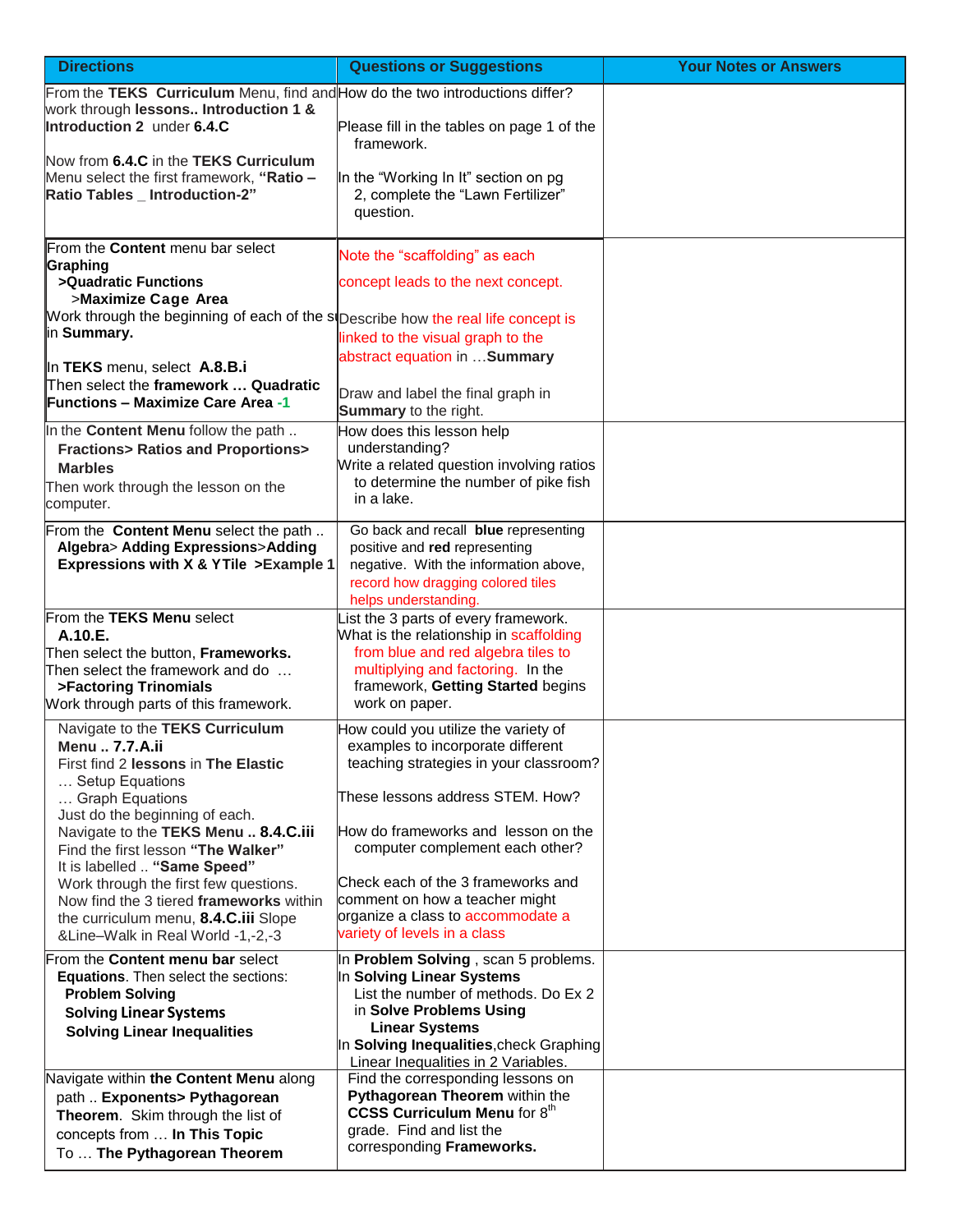| <b>Directions</b>                                                                                                     | <b>Questions or Suggestions</b>                                                                                                                                             | <b>Your Notes or Answers</b> |
|-----------------------------------------------------------------------------------------------------------------------|-----------------------------------------------------------------------------------------------------------------------------------------------------------------------------|------------------------------|
| From the TEKS Curriculum Menu, find and How do the two introductions differ?<br>work through lessons Introduction 1 & |                                                                                                                                                                             |                              |
| Introduction 2 under 6.4.C<br>Now from 6.4.C in the TEKS Curriculum                                                   | Please fill in the tables on page 1 of the<br>framework.                                                                                                                    |                              |
| Menu select the first framework, "Ratio -<br>Ratio Tables _ Introduction-2"                                           | In the "Working In It" section on pg<br>2, complete the "Lawn Fertilizer"<br>question.                                                                                      |                              |
| From the Content menu bar select<br>Graphing                                                                          | Note the "scaffolding" as each                                                                                                                                              |                              |
| >Quadratic Functions<br>>Maximize Cage Area                                                                           | concept leads to the next concept.                                                                                                                                          |                              |
| Work through the beginning of each of the si Describe how the real life concept is<br>lin Summary.                    | linked to the visual graph to the                                                                                                                                           |                              |
| In TEKS menu, select A.8.B.i                                                                                          | abstract equation in  Summary                                                                                                                                               |                              |
| Then select the framework  Quadratic<br><b>IFunctions – Maximize Care Area -1</b>                                     | Draw and label the final graph in<br>Summary to the right.                                                                                                                  |                              |
| In the Content Menu follow the path<br><b>Fractions&gt; Ratios and Proportions&gt;</b>                                | How does this lesson help<br>understanding?                                                                                                                                 |                              |
| <b>Marbles</b><br>Then work through the lesson on the                                                                 | Write a related question involving ratios<br>to determine the number of pike fish                                                                                           |                              |
| computer.                                                                                                             | in a lake.                                                                                                                                                                  |                              |
| From the Content Menu select the path<br>Algebra> Adding Expressions>Adding<br>Expressions with X & YTile > Example 1 | Go back and recall blue representing<br>positive and red representing<br>negative. With the information above,<br>record how dragging colored tiles<br>helps understanding. |                              |
| From the TEKS Menu select<br>A.10.E.                                                                                  | ist the 3 parts of every framework.<br>What is the relationship in scaffolding                                                                                              |                              |
| Then select the button, Frameworks.<br>Then select the framework and do                                               | from blue and red algebra tiles to<br>multiplying and factoring. In the                                                                                                     |                              |
| >Factoring Trinomials<br>Work through parts of this framework.                                                        | framework, Getting Started begins<br>work on paper.                                                                                                                         |                              |
| Navigate to the TEKS Curriculum<br>Menu  7.7.A.ii                                                                     | How could you utilize the variety of<br>examples to incorporate different                                                                                                   |                              |
| First find 2 lessons in The Elastic<br>Setup Equations                                                                | teaching strategies in your classroom?                                                                                                                                      |                              |
| Graph Equations<br>Just do the beginning of each.                                                                     | These lessons address STEM. How?                                                                                                                                            |                              |
| Navigate to the TEKS Menu  8.4.C.iii<br>Find the first lesson "The Walker"                                            | How do frameworks and lesson on the<br>computer complement each other?                                                                                                      |                              |
| It is labelled  "Same Speed"<br>Work through the first few questions.                                                 | Check each of the 3 frameworks and<br>comment on how a teacher might                                                                                                        |                              |
| Now find the 3 tiered frameworks within<br>the curriculum menu, 8.4.C.iii Slope<br>&Line-Walk in Real World -1,-2,-3  | organize a class to accommodate a<br>variety of levels in a class                                                                                                           |                              |
| From the Content menu bar select<br>Equations. Then select the sections:                                              | In Problem Solving, scan 5 problems.<br>In Solving Linear Systems                                                                                                           |                              |
| <b>Problem Solving</b><br><b>Solving Linear Systems</b>                                                               | List the number of methods. Do Ex 2<br>in Solve Problems Using                                                                                                              |                              |
| <b>Solving Linear Inequalities</b>                                                                                    | <b>Linear Systems</b><br>In Solving Inequalities, check Graphing                                                                                                            |                              |
|                                                                                                                       | Linear Inequalities in 2 Variables.                                                                                                                                         |                              |
| Navigate within the Content Menu along<br>path  Exponents> Pythagorean                                                | Find the corresponding lessons on<br>Pythagorean Theorem within the                                                                                                         |                              |
| Theorem. Skim through the list of<br>concepts from  In This Topic                                                     | <b>CCSS Curriculum Menu for 8th</b><br>grade. Find and list the                                                                                                             |                              |
| To  The Pythagorean Theorem                                                                                           | corresponding Frameworks.                                                                                                                                                   |                              |